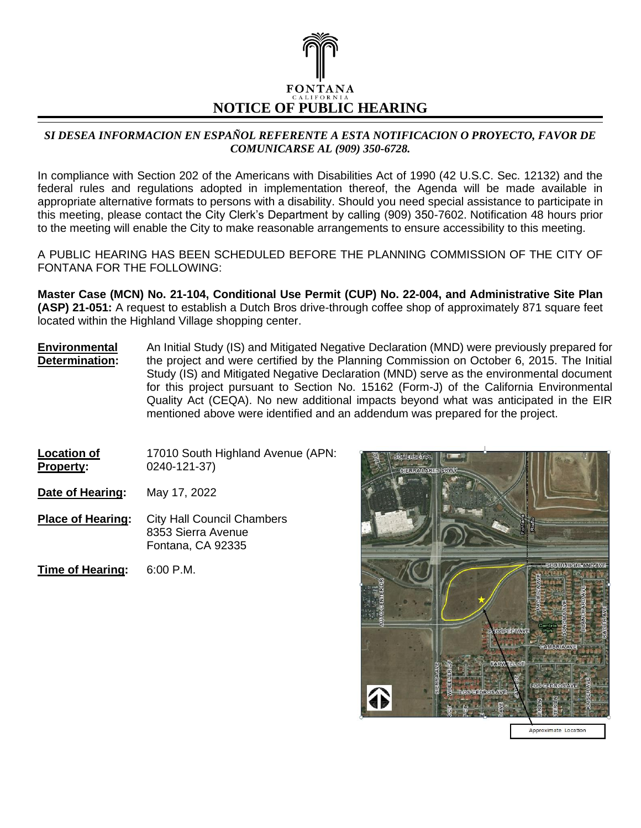

## *SI DESEA INFORMACION EN ESPAÑOL REFERENTE A ESTA NOTIFICACION O PROYECTO, FAVOR DE COMUNICARSE AL (909) 350-6728.*

In compliance with Section 202 of the Americans with Disabilities Act of 1990 (42 U.S.C. Sec. 12132) and the federal rules and regulations adopted in implementation thereof, the Agenda will be made available in appropriate alternative formats to persons with a disability. Should you need special assistance to participate in this meeting, please contact the City Clerk's Department by calling (909) 350-7602. Notification 48 hours prior to the meeting will enable the City to make reasonable arrangements to ensure accessibility to this meeting.

A PUBLIC HEARING HAS BEEN SCHEDULED BEFORE THE PLANNING COMMISSION OF THE CITY OF FONTANA FOR THE FOLLOWING:

**Master Case (MCN) No. 21-104, Conditional Use Permit (CUP) No. 22-004, and Administrative Site Plan (ASP) 21-051:** A request to establish a Dutch Bros drive-through coffee shop of approximately 871 square feet located within the Highland Village shopping center.

- **Environmental Determination:** An Initial Study (IS) and Mitigated Negative Declaration (MND) were previously prepared for the project and were certified by the Planning Commission on October 6, 2015. The Initial Study (IS) and Mitigated Negative Declaration (MND) serve as the environmental document for this project pursuant to Section No. 15162 (Form-J) of the California Environmental Quality Act (CEQA). No new additional impacts beyond what was anticipated in the EIR mentioned above were identified and an addendum was prepared for the project.
- **Location of Property:** 17010 South Highland Avenue (APN: 0240-121-37)

**Date of Hearing:** May 17, 2022

- **Place of Hearing:** City Hall Council Chambers 8353 Sierra Avenue Fontana, CA 92335
- **Time of Hearing:** 6:00 P.M.